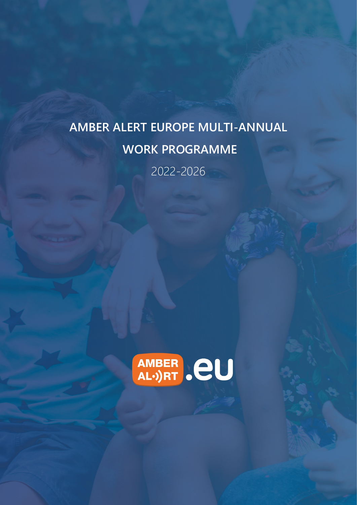# **AMBER ALERT EUROPE MULTI-ANNUAL WORK PROGRAMME**  2022-2026

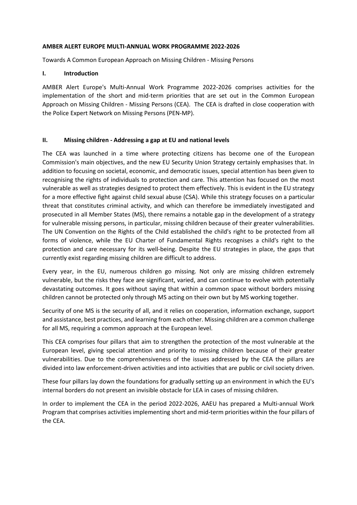### **AMBER ALERT EUROPE MULTI-ANNUAL WORK PROGRAMME 2022-2026**

Towards A Common European Approach on Missing Children - Missing Persons

## **I. Introduction**

AMBER Alert Europe's Multi-Annual Work Programme 2022-2026 comprises activities for the implementation of the short and mid-term priorities that are set out in the Common European Approach on Missing Children - Missing Persons (CEA). The CEA is drafted in close cooperation with the Police Expert Network on Missing Persons (PEN-MP).

## **II. Missing children - Addressing a gap at EU and national levels**

The CEA was launched in a time where protecting citizens has become one of the European Commission's main objectives, and the new EU Security Union Strategy certainly emphasises that. In addition to focusing on societal, economic, and democratic issues, special attention has been given to recognising the rights of individuals to protection and care. This attention has focused on the most vulnerable as well as strategies designed to protect them effectively. This is evident in the EU strategy for a more effective fight against child sexual abuse (CSA). While this strategy focuses on a particular threat that constitutes criminal activity, and which can therefore be immediately investigated and prosecuted in all Member States (MS), there remains a notable gap in the development of a strategy for vulnerable missing persons, in particular, missing children because of their greater vulnerabilities. The UN Convention on the Rights of the Child established the child's right to be protected from all forms of violence, while the EU Charter of Fundamental Rights recognises a child's right to the protection and care necessary for its well-being. Despite the EU strategies in place, the gaps that currently exist regarding missing children are difficult to address.

Every year, in the EU, numerous children go missing. Not only are missing children extremely vulnerable, but the risks they face are significant, varied, and can continue to evolve with potentially devastating outcomes. It goes without saying that within a common space without borders missing children cannot be protected only through MS acting on their own but by MS working together.

Security of one MS is the security of all, and it relies on cooperation, information exchange, support and assistance, best practices, and learning from each other. Missing children are a common challenge for all MS, requiring a common approach at the European level.

This CEA comprises four pillars that aim to strengthen the protection of the most vulnerable at the European level, giving special attention and priority to missing children because of their greater vulnerabilities. Due to the comprehensiveness of the issues addressed by the CEA the pillars are divided into law enforcement-driven activities and into activities that are public or civil society driven.

These four pillars lay down the foundations for gradually setting up an environment in which the EU's internal borders do not present an invisible obstacle for LEA in cases of missing children.

In order to implement the CEA in the period 2022-2026, AAEU has prepared a Multi-annual Work Program that comprises activities implementing short and mid-term priorities within the four pillars of the CEA.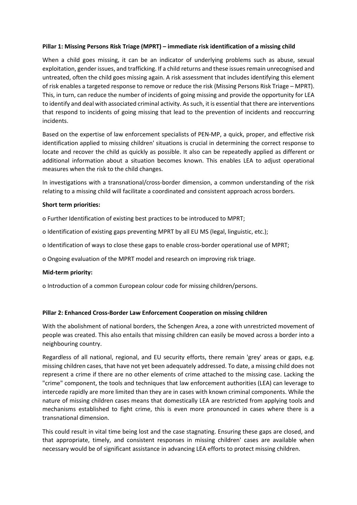## **Pillar 1: Missing Persons Risk Triage (MPRT) – immediate risk identification of a missing child**

When a child goes missing, it can be an indicator of underlying problems such as abuse, sexual exploitation, gender issues, and trafficking. If a child returns and these issues remain unrecognised and untreated, often the child goes missing again. A risk assessment that includes identifying this element of risk enables a targeted response to remove or reduce the risk (Missing Persons Risk Triage – MPRT). This, in turn, can reduce the number of incidents of going missing and provide the opportunity for LEA to identify and deal with associated criminal activity. As such, it is essential that there are interventions that respond to incidents of going missing that lead to the prevention of incidents and reoccurring incidents.

Based on the expertise of law enforcement specialists of PEN-MP, a quick, proper, and effective risk identification applied to missing children' situations is crucial in determining the correct response to locate and recover the child as quickly as possible. It also can be repeatedly applied as different or additional information about a situation becomes known. This enables LEA to adjust operational measures when the risk to the child changes.

In investigations with a transnational/cross-border dimension, a common understanding of the risk relating to a missing child will facilitate a coordinated and consistent approach across borders.

#### **Short term priorities:**

o Further Identification of existing best practices to be introduced to MPRT;

o Identification of existing gaps preventing MPRT by all EU MS (legal, linguistic, etc.);

o Identification of ways to close these gaps to enable cross-border operational use of MPRT;

o Ongoing evaluation of the MPRT model and research on improving risk triage.

#### **Mid-term priority:**

o Introduction of a common European colour code for missing children/persons.

#### **Pillar 2: Enhanced Cross-Border Law Enforcement Cooperation on missing children**

With the abolishment of national borders, the Schengen Area, a zone with unrestricted movement of people was created. This also entails that missing children can easily be moved across a border into a neighbouring country.

Regardless of all national, regional, and EU security efforts, there remain 'grey' areas or gaps, e.g. missing children cases, that have not yet been adequately addressed. To date, a missing child does not represent a crime if there are no other elements of crime attached to the missing case. Lacking the "crime" component, the tools and techniques that law enforcement authorities (LEA) can leverage to intercede rapidly are more limited than they are in cases with known criminal components. While the nature of missing children cases means that domestically LEA are restricted from applying tools and mechanisms established to fight crime, this is even more pronounced in cases where there is a transnational dimension.

This could result in vital time being lost and the case stagnating. Ensuring these gaps are closed, and that appropriate, timely, and consistent responses in missing children' cases are available when necessary would be of significant assistance in advancing LEA efforts to protect missing children.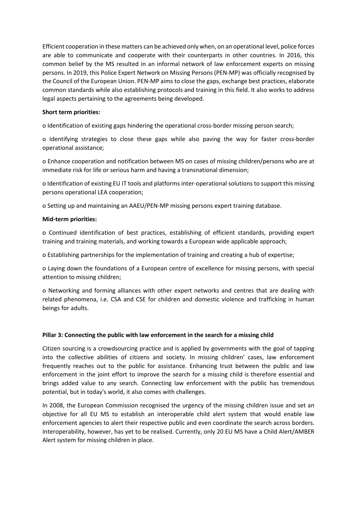Efficient cooperation in these matters can be achieved only when, on an operational level, police forces are able to communicate and cooperate with their counterparts in other countries. In 2016, this common belief by the MS resulted in an informal network of law enforcement experts on missing persons. In 2019, this Police Expert Network on Missing Persons (PEN-MP) was officially recognised by the Council of the European Union. PEN-MP aims to close the gaps, exchange best practices, elaborate common standards while also establishing protocols and training in this field. It also works to address legal aspects pertaining to the agreements being developed.

## **Short term priorities:**

o Identification of existing gaps hindering the operational cross-border missing person search;

o Identifying strategies to close these gaps while also paving the way for faster cross-border operational assistance;

o Enhance cooperation and notification between MS on cases of missing children/persons who are at immediate risk for life or serious harm and having a transnational dimension;

o Identification of existing EU IT tools and platforms inter-operational solutions to support this missing persons operational LEA cooperation;

o Setting up and maintaining an AAEU/PEN-MP missing persons expert training database.

#### **Mid-term priorities:**

o Continued identification of best practices, establishing of efficient standards, providing expert training and training materials, and working towards a European wide applicable approach;

o Establishing partnerships for the implementation of training and creating a hub of expertise;

o Laying down the foundations of a European centre of excellence for missing persons, with special attention to missing children;

o Networking and forming alliances with other expert networks and centres that are dealing with related phenomena, i.e. CSA and CSE for children and domestic violence and trafficking in human beings for adults.

#### **Pillar 3: Connecting the public with law enforcement in the search for a missing child**

Citizen sourcing is a crowdsourcing practice and is applied by governments with the goal of tapping into the collective abilities of citizens and society. In missing children' cases, law enforcement frequently reaches out to the public for assistance. Enhancing trust between the public and law enforcement in the joint effort to improve the search for a missing child is therefore essential and brings added value to any search. Connecting law enforcement with the public has tremendous potential, but in today's world, it also comes with challenges.

In 2008, the European Commission recognised the urgency of the missing children issue and set an objective for all EU MS to establish an interoperable child alert system that would enable law enforcement agencies to alert their respective public and even coordinate the search across borders. Interoperability, however, has yet to be realised. Currently, only 20 EU MS have a Child Alert/AMBER Alert system for missing children in place.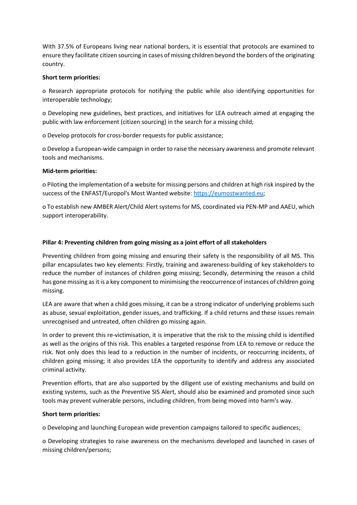With 37.5% of Europeans living near national borders, it is essential that protocols are examined to ensure they facilitate citizen sourcing in cases of missing children beyond the borders of the originating country.

## **Short term priorities:**

o Research appropriate protocols for notifying the public while also identifying opportunities for interoperable technology;

o Developing new guidelines, best practices, and initiatives for LEA outreach aimed at engaging the public with law enforcement (citizen sourcing) in the search for a missing child;

o Develop protocols for cross-border requests for public assistance;

o Develop a European-wide campaign in order to raise the necessary awareness and promote relevant tools and mechanisms.

#### **Mid-term priorities:**

o Piloting the implementation of a website for missing persons and children at high risk inspired by the success of the ENFAST/Europol's Most Wanted website: [https://eumostwanted.eu;](https://eumostwanted.eu/)

o To establish new AMBER Alert/Child Alert systems for MS, coordinated via PEN-MP and AAEU, which support interoperability.

## **Pillar 4: Preventing children from going missing as a joint effort of all stakeholders**

Preventing children from going missing and ensuring their safety is the responsibility of all MS. This pillar encapsulates two key elements: Firstly, training and awareness-building of key stakeholders to reduce the number of instances of children going missing; Secondly, determining the reason a child has gone missing as it is a key component to minimising the reoccurrence of instances of children going missing.

LEA are aware that when a child goes missing, it can be a strong indicator of underlying problems such as abuse, sexual exploitation, gender issues, and trafficking. If a child returns and these issues remain unrecognised and untreated, often children go missing again.

In order to prevent this re-victimisation, it is imperative that the risk to the missing child is identified as well as the origins of this risk. This enables a targeted response from LEA to remove or reduce the risk. Not only does this lead to a reduction in the number of incidents, or reoccurring incidents, of children going missing; it also provides LEA the opportunity to identify and address any associated criminal activity.

Prevention efforts, that are also supported by the diligent use of existing mechanisms and build on existing systems, such as the Preventive SIS Alert, should also be examined and promoted since such tools may prevent vulnerable persons, including children, from being moved into harm's way.

#### **Short term priorities:**

o Developing and launching European wide prevention campaigns tailored to specific audiences;

o Developing strategies to raise awareness on the mechanisms developed and launched in cases of missing children/persons;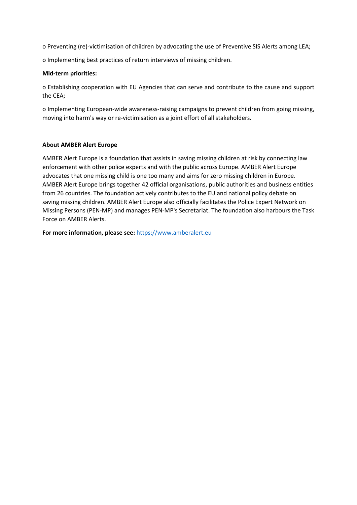o Preventing (re)-victimisation of children by advocating the use of Preventive SIS Alerts among LEA;

o Implementing best practices of return interviews of missing children.

## **Mid-term priorities:**

o Establishing cooperation with EU Agencies that can serve and contribute to the cause and support the CEA;

o Implementing European-wide awareness-raising campaigns to prevent children from going missing, moving into harm's way or re-victimisation as a joint effort of all stakeholders.

## **About AMBER Alert Europe**

AMBER Alert Europe is a foundation that assists in saving missing children at risk by connecting law enforcement with other police experts and with the public across Europe. AMBER Alert Europe advocates that one missing child is one too many and aims for zero missing children in Europe. AMBER Alert Europe brings together 42 official organisations, public authorities and business entities from 26 countries. The foundation actively contributes to the EU and national policy debate on saving missing children. AMBER Alert Europe also officially facilitates the Police Expert Network on Missing Persons (PEN-MP) and manages PEN-MP's Secretariat. The foundation also harbours the Task Force on AMBER Alerts.

**For more information, please see:** [https://www.amberalert.eu](https://www.amberalert.eu/)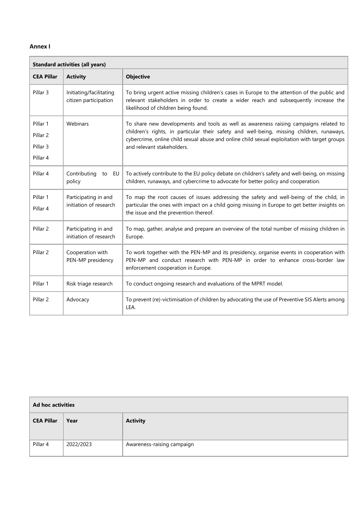### **Annex I**

| <b>Standard activities (all years)</b>                  |                                                  |                                                                                                                                                                                                                                                                                                                   |  |  |
|---------------------------------------------------------|--------------------------------------------------|-------------------------------------------------------------------------------------------------------------------------------------------------------------------------------------------------------------------------------------------------------------------------------------------------------------------|--|--|
| <b>CEA Pillar</b>                                       | <b>Activity</b>                                  | <b>Objective</b>                                                                                                                                                                                                                                                                                                  |  |  |
| Pillar 3                                                | Initiating/facilitating<br>citizen participation | To bring urgent active missing children's cases in Europe to the attention of the public and<br>relevant stakeholders in order to create a wider reach and subsequently increase the<br>likelihood of children being found.                                                                                       |  |  |
| Pillar 1<br>Pillar <sub>2</sub><br>Pillar 3<br>Pillar 4 | Webinars                                         | To share new developments and tools as well as awareness raising campaigns related to<br>children's rights, in particular their safety and well-being, missing children, runaways,<br>cybercrime, online child sexual abuse and online child sexual exploitation with target groups<br>and relevant stakeholders. |  |  |
| Pillar 4                                                | Contributing<br>to EU<br>policy                  | To actively contribute to the EU policy debate on children's safety and well-being, on missing<br>children, runaways, and cybercrime to advocate for better policy and cooperation.                                                                                                                               |  |  |
| Pillar 1<br>Pillar 4                                    | Participating in and<br>initiation of research   | To map the root causes of issues addressing the safety and well-being of the child, in<br>particular the ones with impact on a child going missing in Europe to get better insights on<br>the issue and the prevention thereof.                                                                                   |  |  |
| Pillar <sub>2</sub>                                     | Participating in and<br>initiation of research   | To map, gather, analyse and prepare an overview of the total number of missing children in<br>Europe.                                                                                                                                                                                                             |  |  |
| Pillar <sub>2</sub>                                     | Cooperation with<br>PEN-MP presidency            | To work together with the PEN-MP and its presidency, organise events in cooperation with<br>PEN-MP and conduct research with PEN-MP in order to enhance cross-border law<br>enforcement cooperation in Europe.                                                                                                    |  |  |
| Pillar 1                                                | Risk triage research                             | To conduct ongoing research and evaluations of the MPRT model.                                                                                                                                                                                                                                                    |  |  |
| Pillar <sub>2</sub>                                     | Advocacy                                         | To prevent (re)-victimisation of children by advocating the use of Preventive SIS Alerts among<br>LEA.                                                                                                                                                                                                            |  |  |

| <b>Ad hoc activities</b> |           |                            |  |  |
|--------------------------|-----------|----------------------------|--|--|
| <b>CEA Pillar</b>        | Year      | <b>Activity</b>            |  |  |
| Pillar 4                 | 2022/2023 | Awareness-raising campaign |  |  |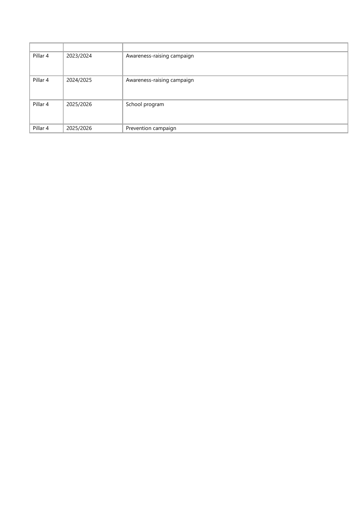| Pillar 4 | 2023/2024 | Awareness-raising campaign |
|----------|-----------|----------------------------|
| Pillar 4 |           |                            |
|          | 2024/2025 | Awareness-raising campaign |
| Pillar 4 | 2025/2026 | School program             |
| Pillar 4 | 2025/2026 | Prevention campaign        |